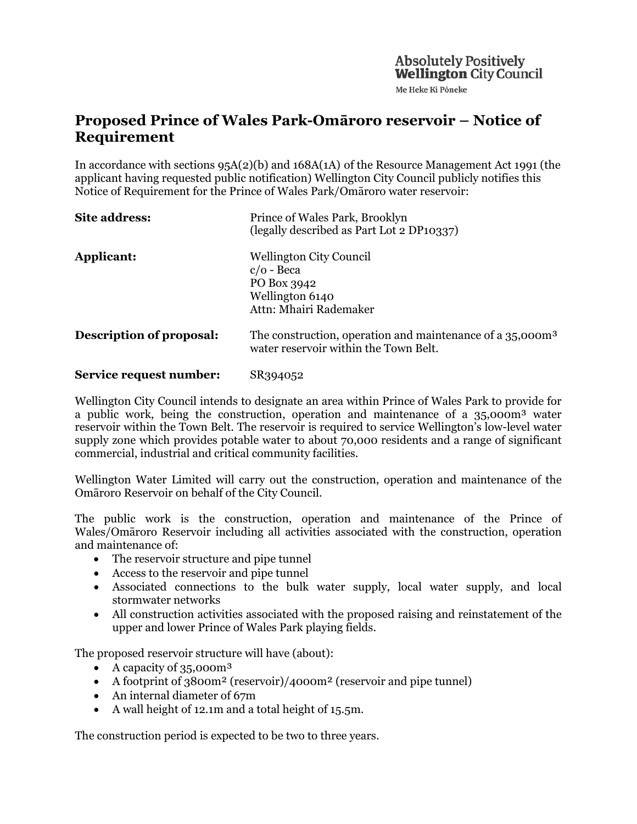Me Heke Ki Pöneke

# **Proposed Prince of Wales Park-Omāroro reservoir – Notice of Requirement**

In accordance with sections 95A(2)(b) and 168A(1A) of the Resource Management Act 1991 (the applicant having requested public notification) Wellington City Council publicly notifies this Notice of Requirement for the Prince of Wales Park/Omāroro water reservoir:

| Site address:                   | Prince of Wales Park, Brooklyn<br>(legally described as Part Lot 2 DP10337)                                    |
|---------------------------------|----------------------------------------------------------------------------------------------------------------|
| Applicant:                      | <b>Wellington City Council</b><br>$c/o$ - Beca<br>PO Box 3942<br>Wellington 6140<br>Attn: Mhairi Rademaker     |
| <b>Description of proposal:</b> | The construction, operation and maintenance of a 35,000m <sup>3</sup><br>water reservoir within the Town Belt. |
| Service request number:         | SR394052                                                                                                       |

Wellington City Council intends to designate an area within Prince of Wales Park to provide for a public work, being the construction, operation and maintenance of a 35,000m³ water reservoir within the Town Belt. The reservoir is required to service Wellington's low-level water supply zone which provides potable water to about 70,000 residents and a range of significant commercial, industrial and critical community facilities.

Wellington Water Limited will carry out the construction, operation and maintenance of the Omāroro Reservoir on behalf of the City Council.

The public work is the construction, operation and maintenance of the Prince of Wales/Omāroro Reservoir including all activities associated with the construction, operation and maintenance of:

- The reservoir structure and pipe tunnel
- Access to the reservoir and pipe tunnel
- Associated connections to the bulk water supply, local water supply, and local stormwater networks
- All construction activities associated with the proposed raising and reinstatement of the upper and lower Prince of Wales Park playing fields.

The proposed reservoir structure will have (about):

- A capacity of 35,000m<sup>3</sup>
- A footprint of 3800m<sup>2</sup> (reservoir)/4000m<sup>2</sup> (reservoir and pipe tunnel)
- An internal diameter of 67m
- A wall height of 12.1m and a total height of 15.5m.

The construction period is expected to be two to three years.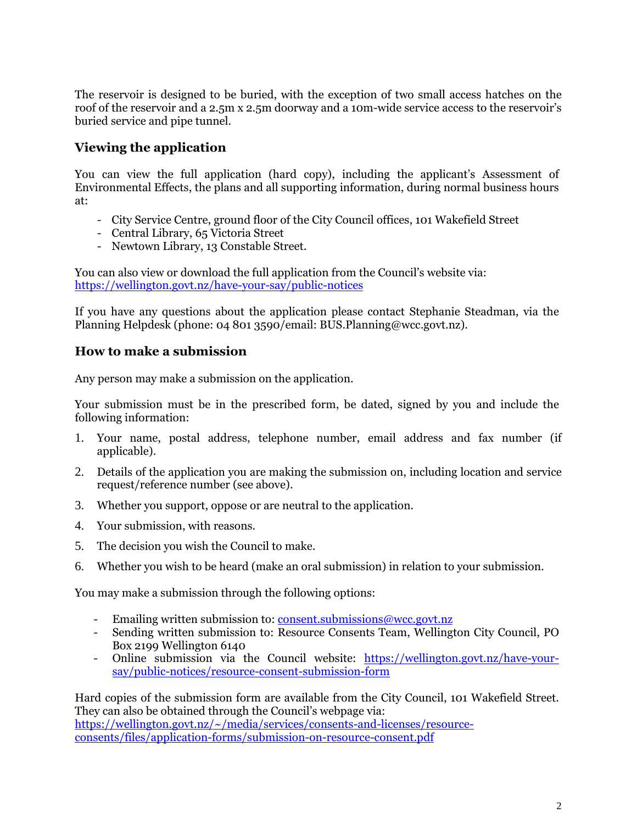The reservoir is designed to be buried, with the exception of two small access hatches on the roof of the reservoir and a 2.5m x 2.5m doorway and a 10m-wide service access to the reservoir's buried service and pipe tunnel.

## **Viewing the application**

You can view the full application (hard copy), including the applicant's Assessment of Environmental Effects, the plans and all supporting information, during normal business hours at:

- City Service Centre, ground floor of the City Council offices, 101 Wakefield Street
- Central Library, 65 Victoria Street
- Newtown Library, 13 Constable Street.

You can also view or download the full application from the Council's website via: <https://wellington.govt.nz/have-your-say/public-notices>

If you have any questions about the application please contact Stephanie Steadman, via the Planning Helpdesk (phone: 04 801 3590/email: BUS.Planning@wcc.govt.nz).

### **How to make a submission**

Any person may make a submission on the application.

Your submission must be in the prescribed form, be dated, signed by you and include the following information:

- 1. Your name, postal address, telephone number, email address and fax number (if applicable).
- 2. Details of the application you are making the submission on, including location and service request/reference number (see above).
- 3. Whether you support, oppose or are neutral to the application.
- 4. Your submission, with reasons.
- 5. The decision you wish the Council to make.
- 6. Whether you wish to be heard (make an oral submission) in relation to your submission.

You may make a submission through the following options:

- Emailing written submission to: [consent.submissions@wcc.govt.nz](mailto:consent.submissions@wcc.govt.nz)
- Sending written submission to: Resource Consents Team, Wellington City Council, PO Box 2199 Wellington 6140
- Online submission via the Council website: [https://wellington.govt.nz/have-your](https://wellington.govt.nz/have-your-say/public-notices/resource-consent-submission-form)[say/public-notices/resource-consent-submission-form](https://wellington.govt.nz/have-your-say/public-notices/resource-consent-submission-form)

Hard copies of the submission form are available from the City Council, 101 Wakefield Street. They can also be obtained through the Council's webpage via: [https://wellington.govt.nz/~/media/services/consents-and-licenses/resource](https://wellington.govt.nz/%7E/media/services/consents-and-licenses/resource-consents/files/application-forms/submission-on-resource-consent.pdf)[consents/files/application-forms/submission-on-resource-consent.pdf](https://wellington.govt.nz/%7E/media/services/consents-and-licenses/resource-consents/files/application-forms/submission-on-resource-consent.pdf)